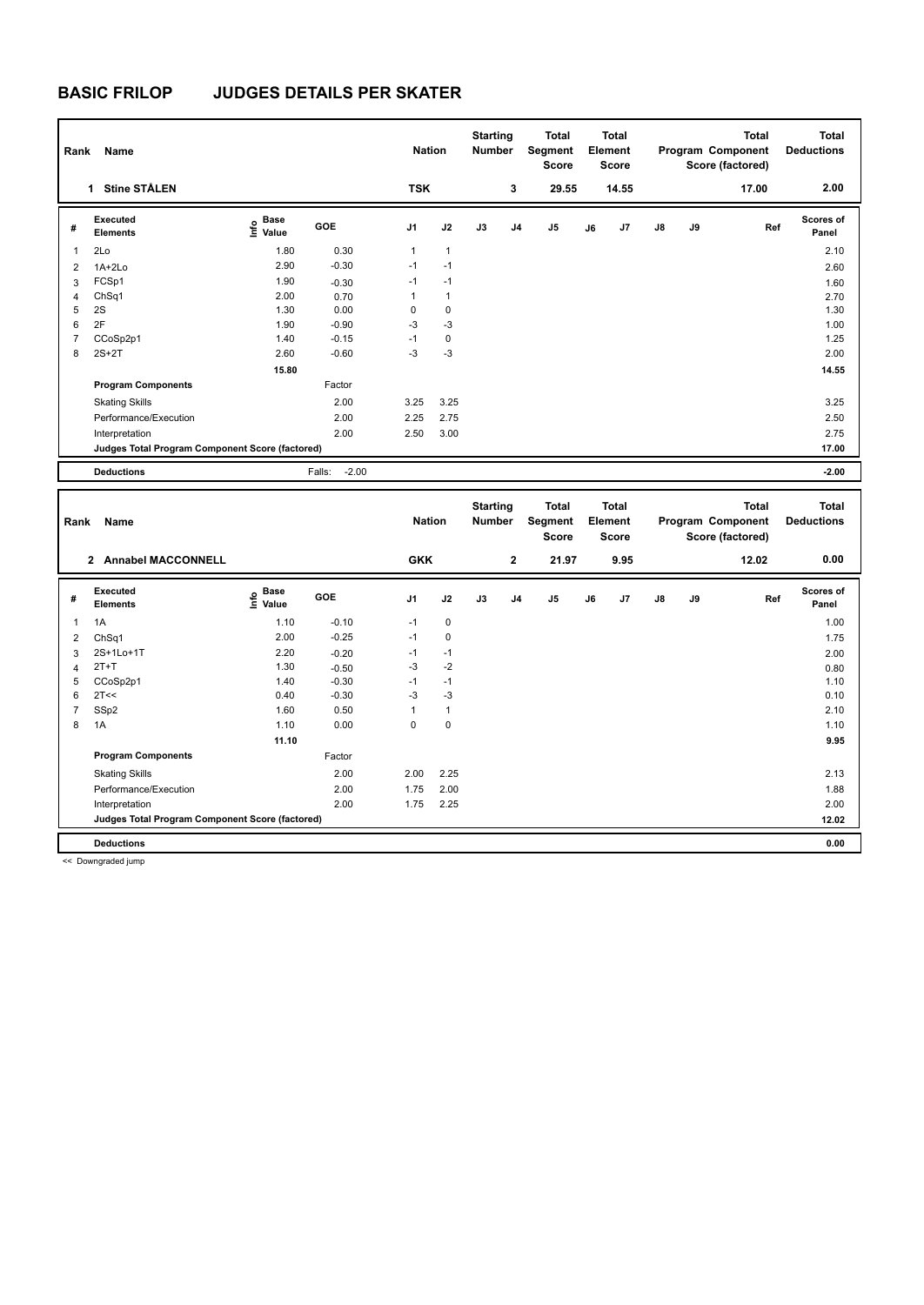## **BASIC FRILOP JUDGES DETAILS PER SKATER**

| Name<br>Rank                                    |                             |                                  |                   |                | <b>Nation</b> |    | <b>Starting</b><br><b>Number</b> | Total<br>Segment<br><b>Score</b> | <b>Total</b><br>Element<br>Score |                |               |    | <b>Total</b><br>Program Component<br>Score (factored) | <b>Total</b><br><b>Deductions</b> |
|-------------------------------------------------|-----------------------------|----------------------------------|-------------------|----------------|---------------|----|----------------------------------|----------------------------------|----------------------------------|----------------|---------------|----|-------------------------------------------------------|-----------------------------------|
|                                                 | <b>Stine STÅLEN</b><br>1    |                                  |                   | <b>TSK</b>     |               |    | 3                                | 29.55                            |                                  | 14.55          |               |    | 17.00                                                 | 2.00                              |
| #                                               | Executed<br><b>Elements</b> | <b>Base</b><br>o Base<br>⊆ Value | <b>GOE</b>        | J <sub>1</sub> | J2            | J3 | J <sub>4</sub>                   | J5                               | J6                               | J <sub>7</sub> | $\mathsf{J}8$ | J9 | Ref                                                   | Scores of<br>Panel                |
| $\overline{1}$                                  | 2Lo                         | 1.80                             | 0.30              | 1              | $\mathbf{1}$  |    |                                  |                                  |                                  |                |               |    |                                                       | 2.10                              |
| $\overline{2}$                                  | $1A+2Lo$                    | 2.90                             | $-0.30$           | $-1$           | $-1$          |    |                                  |                                  |                                  |                |               |    |                                                       | 2.60                              |
| 3                                               | FCSp1                       | 1.90                             | $-0.30$           | $-1$           | $-1$          |    |                                  |                                  |                                  |                |               |    |                                                       | 1.60                              |
| $\overline{4}$                                  | ChSq1                       | 2.00                             | 0.70              | 1              | $\mathbf{1}$  |    |                                  |                                  |                                  |                |               |    |                                                       | 2.70                              |
| 5                                               | 2S                          | 1.30                             | 0.00              | 0              | $\mathbf 0$   |    |                                  |                                  |                                  |                |               |    |                                                       | 1.30                              |
| 6                                               | 2F                          | 1.90                             | $-0.90$           | $-3$           | $-3$          |    |                                  |                                  |                                  |                |               |    |                                                       | 1.00                              |
| $\overline{7}$                                  | CCoSp2p1                    | 1.40                             | $-0.15$           | $-1$           | 0             |    |                                  |                                  |                                  |                |               |    |                                                       | 1.25                              |
| 8                                               | $2S+2T$                     | 2.60                             | $-0.60$           | $-3$           | $-3$          |    |                                  |                                  |                                  |                |               |    |                                                       | 2.00                              |
|                                                 |                             | 15.80                            |                   |                |               |    |                                  |                                  |                                  |                |               |    |                                                       | 14.55                             |
|                                                 | <b>Program Components</b>   |                                  | Factor            |                |               |    |                                  |                                  |                                  |                |               |    |                                                       |                                   |
|                                                 | <b>Skating Skills</b>       |                                  | 2.00              | 3.25           | 3.25          |    |                                  |                                  |                                  |                |               |    |                                                       | 3.25                              |
|                                                 | Performance/Execution       |                                  | 2.00              | 2.25           | 2.75          |    |                                  |                                  |                                  |                |               |    |                                                       | 2.50                              |
|                                                 | Interpretation              |                                  | 2.00              | 2.50           | 3.00          |    |                                  |                                  |                                  |                |               |    |                                                       | 2.75                              |
| Judges Total Program Component Score (factored) |                             |                                  |                   |                |               |    |                                  |                                  |                                  | 17.00          |               |    |                                                       |                                   |
|                                                 | <b>Deductions</b>           |                                  | $-2.00$<br>Falls: |                |               |    |                                  |                                  |                                  |                |               |    |                                                       | $-2.00$                           |

| Name<br>Rank            |                                                 |                                  | <b>Nation</b> |            | <b>Starting</b><br>Number |    | Total<br>Segment<br><b>Score</b> | <b>Total</b><br>Element<br><b>Score</b> |    |      |               | Total<br>Program Component<br>Score (factored) | <b>Total</b><br><b>Deductions</b> |                    |
|-------------------------|-------------------------------------------------|----------------------------------|---------------|------------|---------------------------|----|----------------------------------|-----------------------------------------|----|------|---------------|------------------------------------------------|-----------------------------------|--------------------|
|                         | <b>Annabel MACCONNELL</b><br>$\mathbf{2}$       |                                  |               | <b>GKK</b> |                           |    | $\overline{2}$                   | 21.97                                   |    | 9.95 |               |                                                | 12.02                             | 0.00               |
| #                       | Executed<br><b>Elements</b>                     | <b>Base</b><br>e Base<br>⊆ Value | GOE           | J1         | J2                        | J3 | J <sub>4</sub>                   | J <sub>5</sub>                          | J6 | J7   | $\mathsf{J}8$ | J9                                             | Ref                               | Scores of<br>Panel |
| $\overline{\mathbf{1}}$ | 1A                                              | 1.10                             | $-0.10$       | $-1$       | $\mathbf 0$               |    |                                  |                                         |    |      |               |                                                |                                   | 1.00               |
| 2                       | ChSq1                                           | 2.00                             | $-0.25$       | $-1$       | 0                         |    |                                  |                                         |    |      |               |                                                |                                   | 1.75               |
| 3                       | 2S+1Lo+1T                                       | 2.20                             | $-0.20$       | $-1$       | $-1$                      |    |                                  |                                         |    |      |               |                                                |                                   | 2.00               |
| $\overline{4}$          | $2T+T$                                          | 1.30                             | $-0.50$       | $-3$       | $-2$                      |    |                                  |                                         |    |      |               |                                                |                                   | 0.80               |
| 5                       | CCoSp2p1                                        | 1.40                             | $-0.30$       | $-1$       | $-1$                      |    |                                  |                                         |    |      |               |                                                |                                   | 1.10               |
| 6                       | 2T<<                                            | 0.40                             | $-0.30$       | $-3$       | $-3$                      |    |                                  |                                         |    |      |               |                                                |                                   | 0.10               |
|                         | SSp2                                            | 1.60                             | 0.50          | 1          | 1                         |    |                                  |                                         |    |      |               |                                                |                                   | 2.10               |
| 8                       | 1A                                              | 1.10                             | 0.00          | $\Omega$   | $\mathbf 0$               |    |                                  |                                         |    |      |               |                                                |                                   | 1.10               |
|                         |                                                 | 11.10                            |               |            |                           |    |                                  |                                         |    |      |               |                                                |                                   | 9.95               |
|                         | <b>Program Components</b>                       |                                  | Factor        |            |                           |    |                                  |                                         |    |      |               |                                                |                                   |                    |
|                         | <b>Skating Skills</b>                           |                                  | 2.00          | 2.00       | 2.25                      |    |                                  |                                         |    |      |               |                                                |                                   | 2.13               |
|                         | Performance/Execution                           |                                  | 2.00          | 1.75       | 2.00                      |    |                                  |                                         |    |      |               |                                                |                                   | 1.88               |
|                         | Interpretation                                  |                                  | 2.00          | 1.75       | 2.25                      |    |                                  |                                         |    |      |               |                                                |                                   | 2.00               |
|                         | Judges Total Program Component Score (factored) |                                  |               |            |                           |    |                                  |                                         |    |      |               |                                                |                                   | 12.02              |
|                         | <b>Deductions</b>                               |                                  |               |            |                           |    |                                  |                                         |    |      |               |                                                |                                   | 0.00               |

<< Downgraded jump